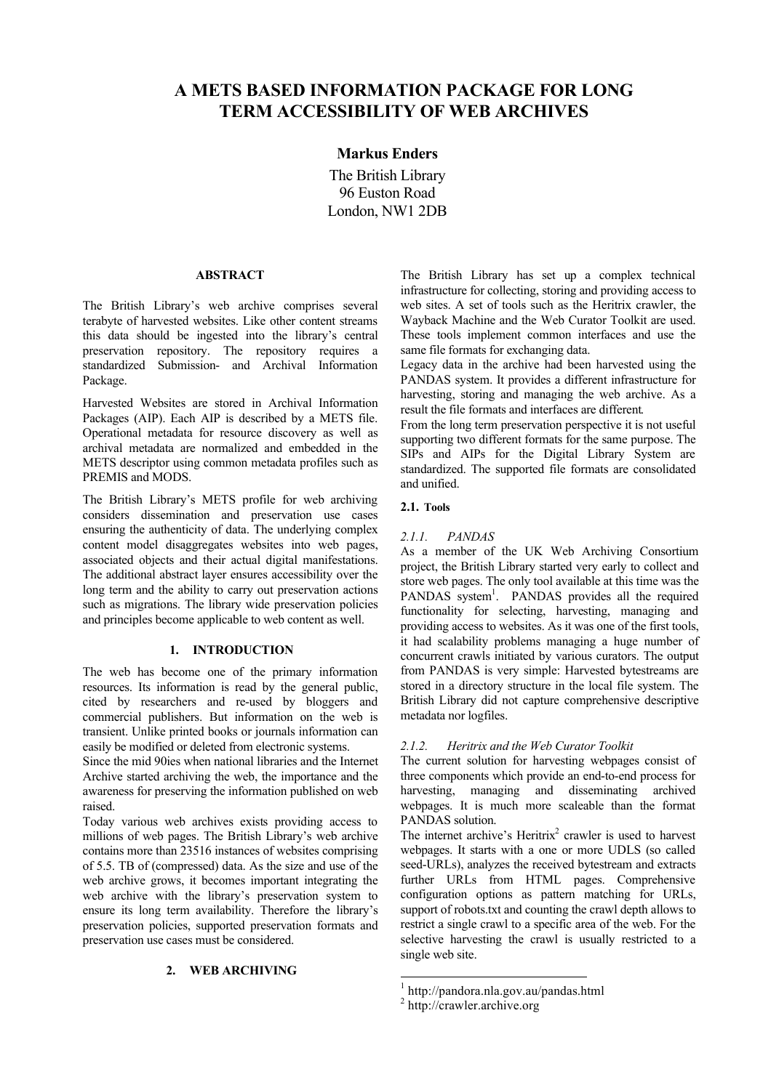# **A METS BASED INFORMATION PACKAGE FOR LONG TERM ACCESSIBILITY OF WEB ARCHIVES**

# **Markus Enders**

The British Library 96 Euston Road London, NW1 2DB

#### **ABSTRACT**

The British Library's web archive comprises several terabyte of harvested websites. Like other content streams this data should be ingested into the library's central preservation repository. The repository requires a standardized Submission- and Archival Information Package.

Harvested Websites are stored in Archival Information Packages (AIP). Each AIP is described by a METS file. Operational metadata for resource discovery as well as archival metadata are normalized and embedded in the METS descriptor using common metadata profiles such as PREMIS and MODS.

The British Library's METS profile for web archiving considers dissemination and preservation use cases ensuring the authenticity of data. The underlying complex content model disaggregates websites into web pages, associated objects and their actual digital manifestations. The additional abstract layer ensures accessibility over the long term and the ability to carry out preservation actions such as migrations. The library wide preservation policies and principles become applicable to web content as well.

## **1. INTRODUCTION**

The web has become one of the primary information resources. Its information is read by the general public, cited by researchers and re-used by bloggers and commercial publishers. But information on the web is transient. Unlike printed books or journals information can easily be modified or deleted from electronic systems.

Since the mid 90ies when national libraries and the Internet Archive started archiving the web, the importance and the awareness for preserving the information published on web raised.

Today various web archives exists providing access to millions of web pages. The British Library's web archive contains more than 23516 instances of websites comprising of 5.5. TB of (compressed) data. As the size and use of the web archive grows, it becomes important integrating the web archive with the library's preservation system to ensure its long term availability. Therefore the library's preservation policies, supported preservation formats and preservation use cases must be considered.

## **2. WEB ARCHIVING**

The British Library has set up a complex technical infrastructure for collecting, storing and providing access to web sites. A set of tools such as the Heritrix crawler, the Wayback Machine and the Web Curator Toolkit are used. These tools implement common interfaces and use the same file formats for exchanging data.

Legacy data in the archive had been harvested using the PANDAS system. It provides a different infrastructure for harvesting, storing and managing the web archive. As a result the file formats and interfaces are different.

From the long term preservation perspective it is not useful supporting two different formats for the same purpose. The SIPs and AIPs for the Digital Library System are standardized. The supported file formats are consolidated and unified.

# **2.1. Tools**

#### *2.1.1. PANDAS*

As a member of the UK Web Archiving Consortium project, the British Library started very early to collect and store web pages. The only tool available at this time was the PANDAS system<sup>1</sup>. PANDAS provides all the required functionality for selecting, harvesting, managing and providing access to websites. As it was one of the first tools, it had scalability problems managing a huge number of concurrent crawls initiated by various curators. The output from PANDAS is very simple: Harvested bytestreams are stored in a directory structure in the local file system. The British Library did not capture comprehensive descriptive metadata nor logfiles.

# *2.1.2. Heritrix and the Web Curator Toolkit*

The current solution for harvesting webpages consist of three components which provide an end-to-end process for harvesting, managing and disseminating archived webpages. It is much more scaleable than the format PANDAS solution.

The internet archive's Heritrix<sup>2</sup> crawler is used to harvest webpages. It starts with a one or more UDLS (so called seed-URLs), analyzes the received bytestream and extracts further URLs from HTML pages. Comprehensive configuration options as pattern matching for URLs, support of robots.txt and counting the crawl depth allows to restrict a single crawl to a specific area of the web. For the selective harvesting the crawl is usually restricted to a single web site.

 <sup>1</sup>  $h^2$  http://pandora.nla.gov.au/pandas.html<br> $h^2$  http://crawler.archive.org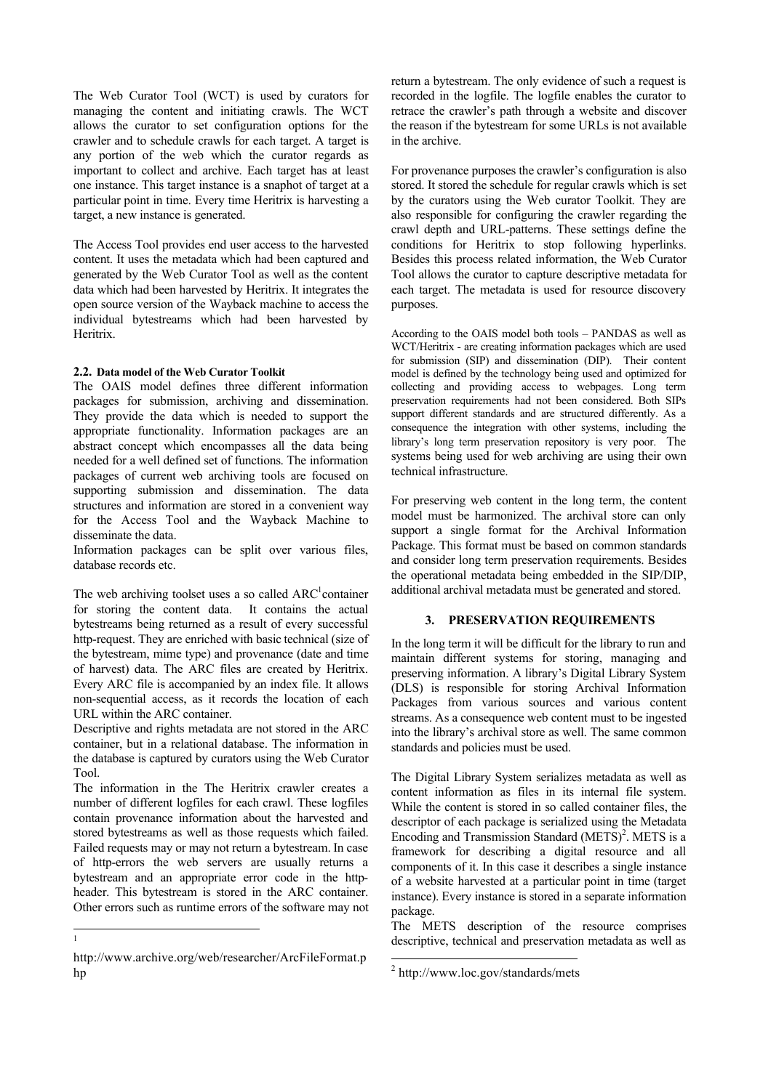The Web Curator Tool (WCT) is used by curators for managing the content and initiating crawls. The WCT allows the curator to set configuration options for the crawler and to schedule crawls for each target. A target is any portion of the web which the curator regards as important to collect and archive. Each target has at least one instance. This target instance is a snaphot of target at a particular point in time. Every time Heritrix is harvesting a target, a new instance is generated.

The Access Tool provides end user access to the harvested content. It uses the metadata which had been captured and generated by the Web Curator Tool as well as the content data which had been harvested by Heritrix. It integrates the open source version of the Wayback machine to access the individual bytestreams which had been harvested by Heritrix.

#### **2.2. Data model of the Web Curator Toolkit**

The OAIS model defines three different information packages for submission, archiving and dissemination. They provide the data which is needed to support the appropriate functionality. Information packages are an abstract concept which encompasses all the data being needed for a well defined set of functions. The information packages of current web archiving tools are focused on supporting submission and dissemination. The data structures and information are stored in a convenient way for the Access Tool and the Wayback Machine to disseminate the data.

Information packages can be split over various files, database records etc.

The web archiving toolset uses a so called  $ARC<sup>1</sup>$  container for storing the content data. It contains the actual bytestreams being returned as a result of every successful http-request. They are enriched with basic technical (size of the bytestream, mime type) and provenance (date and time of harvest) data. The ARC files are created by Heritrix. Every ARC file is accompanied by an index file. It allows non-sequential access, as it records the location of each URL within the ARC container.

Descriptive and rights metadata are not stored in the ARC container, but in a relational database. The information in the database is captured by curators using the Web Curator Tool.

The information in the The Heritrix crawler creates a number of different logfiles for each crawl. These logfiles contain provenance information about the harvested and stored bytestreams as well as those requests which failed. Failed requests may or may not return a bytestream. In case of http-errors the web servers are usually returns a bytestream and an appropriate error code in the httpheader. This bytestream is stored in the ARC container. Other errors such as runtime errors of the software may not

return a bytestream. The only evidence of such a request is recorded in the logfile. The logfile enables the curator to retrace the crawler's path through a website and discover the reason if the bytestream for some URLs is not available in the archive.

For provenance purposes the crawler's configuration is also stored. It stored the schedule for regular crawls which is set by the curators using the Web curator Toolkit. They are also responsible for configuring the crawler regarding the crawl depth and URL-patterns. These settings define the conditions for Heritrix to stop following hyperlinks. Besides this process related information, the Web Curator Tool allows the curator to capture descriptive metadata for each target. The metadata is used for resource discovery purposes.

According to the OAIS model both tools – PANDAS as well as WCT/Heritrix - are creating information packages which are used for submission (SIP) and dissemination (DIP). Their content model is defined by the technology being used and optimized for collecting and providing access to webpages. Long term preservation requirements had not been considered. Both SIPs support different standards and are structured differently. As a consequence the integration with other systems, including the library's long term preservation repository is very poor. The systems being used for web archiving are using their own technical infrastructure.

For preserving web content in the long term, the content model must be harmonized. The archival store can only support a single format for the Archival Information Package. This format must be based on common standards and consider long term preservation requirements. Besides the operational metadata being embedded in the SIP/DIP, additional archival metadata must be generated and stored.

### **3. PRESERVATION REQUIREMENTS**

In the long term it will be difficult for the library to run and maintain different systems for storing, managing and preserving information. A library's Digital Library System (DLS) is responsible for storing Archival Information Packages from various sources and various content streams. As a consequence web content must to be ingested into the library's archival store as well. The same common standards and policies must be used.

The Digital Library System serializes metadata as well as content information as files in its internal file system. While the content is stored in so called container files, the descriptor of each package is serialized using the Metadata Encoding and Transmission Standard  $(METS)^2$ . METS is a framework for describing a digital resource and all components of it. In this case it describes a single instance of a website harvested at a particular point in time (target instance). Every instance is stored in a separate information package.

The METS description of the resource comprises descriptive, technical and preservation metadata as well as

 <sup>1</sup>

http://www.archive.org/web/researcher/ArcFileFormat.p hp

 <sup>2</sup> http://www.loc.gov/standards/mets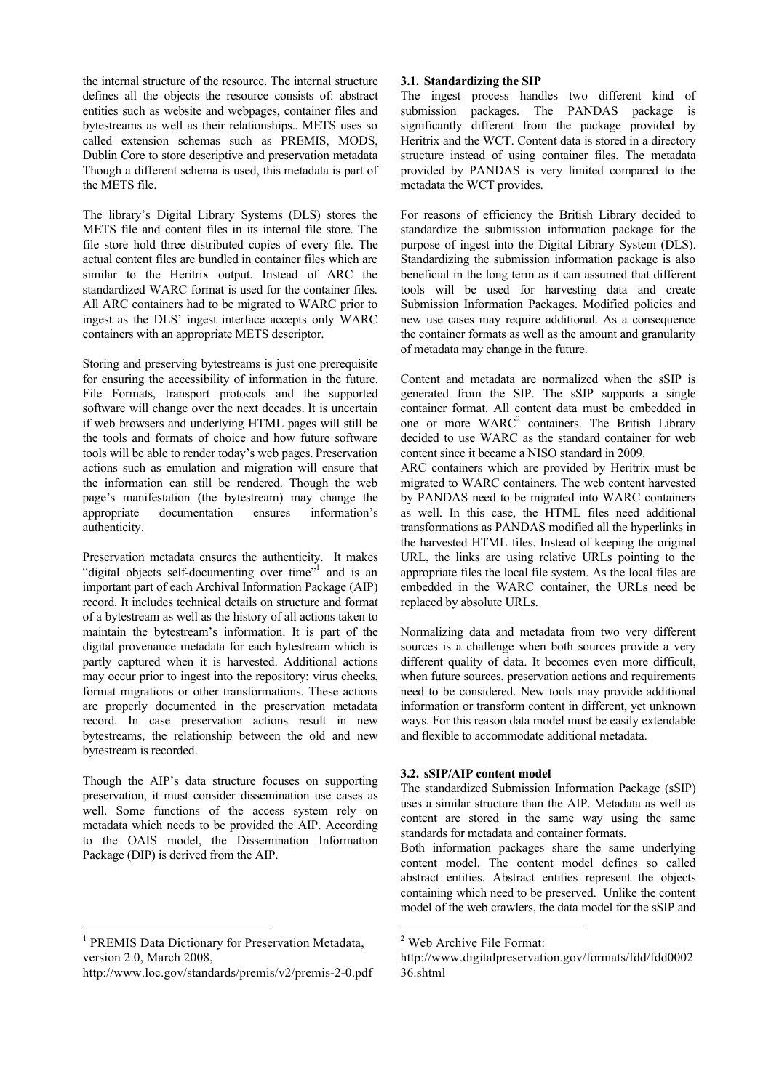the internal structure of the resource. The internal structure defines all the objects the resource consists of: abstract entities such as website and webpages, container files and bytestreams as well as their relationships.. METS uses so called extension schemas such as PREMIS, MODS, Dublin Core to store descriptive and preservation metadata Though a different schema is used, this metadata is part of the METS file.

The library's Digital Library Systems (DLS) stores the METS file and content files in its internal file store. The file store hold three distributed copies of every file. The actual content files are bundled in container files which are similar to the Heritrix output. Instead of ARC the standardized WARC format is used for the container files. All ARC containers had to be migrated to WARC prior to ingest as the DLS' ingest interface accepts only WARC containers with an appropriate METS descriptor.

Storing and preserving bytestreams is just one prerequisite for ensuring the accessibility of information in the future. File Formats, transport protocols and the supported software will change over the next decades. It is uncertain if web browsers and underlying HTML pages will still be the tools and formats of choice and how future software tools will be able to render today's web pages. Preservation actions such as emulation and migration will ensure that the information can still be rendered. Though the web page's manifestation (the bytestream) may change the appropriate documentation ensures information's authenticity.

Preservation metadata ensures the authenticity. It makes "digital objects self-documenting over time"<sup>1</sup> and is an important part of each Archival Information Package (AIP) record. It includes technical details on structure and format of a bytestream as well as the history of all actions taken to maintain the bytestream's information. It is part of the digital provenance metadata for each bytestream which is partly captured when it is harvested. Additional actions may occur prior to ingest into the repository: virus checks, format migrations or other transformations. These actions are properly documented in the preservation metadata record. In case preservation actions result in new bytestreams, the relationship between the old and new bytestream is recorded.

Though the AIP's data structure focuses on supporting preservation, it must consider dissemination use cases as well. Some functions of the access system rely on metadata which needs to be provided the AIP. According to the OAIS model, the Dissemination Information Package (DIP) is derived from the AIP.

#### **3.1. Standardizing the SIP**

The ingest process handles two different kind of submission packages. The PANDAS package is significantly different from the package provided by Heritrix and the WCT. Content data is stored in a directory structure instead of using container files. The metadata provided by PANDAS is very limited compared to the metadata the WCT provides.

For reasons of efficiency the British Library decided to standardize the submission information package for the purpose of ingest into the Digital Library System (DLS). Standardizing the submission information package is also beneficial in the long term as it can assumed that different tools will be used for harvesting data and create Submission Information Packages. Modified policies and new use cases may require additional. As a consequence the container formats as well as the amount and granularity of metadata may change in the future.

Content and metadata are normalized when the sSIP is generated from the SIP. The sSIP supports a single container format. All content data must be embedded in one or more  $WARC<sup>2</sup>$  containers. The British Library decided to use WARC as the standard container for web content since it became a NISO standard in 2009.

ARC containers which are provided by Heritrix must be migrated to WARC containers. The web content harvested by PANDAS need to be migrated into WARC containers as well. In this case, the HTML files need additional transformations as PANDAS modified all the hyperlinks in the harvested HTML files. Instead of keeping the original URL, the links are using relative URLs pointing to the appropriate files the local file system. As the local files are embedded in the WARC container, the URLs need be replaced by absolute URLs.

Normalizing data and metadata from two very different sources is a challenge when both sources provide a very different quality of data. It becomes even more difficult, when future sources, preservation actions and requirements need to be considered. New tools may provide additional information or transform content in different, yet unknown ways. For this reason data model must be easily extendable and flexible to accommodate additional metadata.

#### **3.2. sSIP/AIP content model**

The standardized Submission Information Package (sSIP) uses a similar structure than the AIP. Metadata as well as content are stored in the same way using the same standards for metadata and container formats.

Both information packages share the same underlying content model. The content model defines so called abstract entities. Abstract entities represent the objects containing which need to be preserved. Unlike the content model of the web crawlers, the data model for the sSIP and

<sup>&</sup>lt;sup>1</sup> PREMIS Data Dictionary for Preservation Metadata, version 2.0, March 2008,

http://www.loc.gov/standards/premis/v2/premis-2-0.pdf

<sup>&</sup>lt;sup>2</sup> Web Archive File Format:

http://www.digitalpreservation.gov/formats/fdd/fdd0002 36.shtml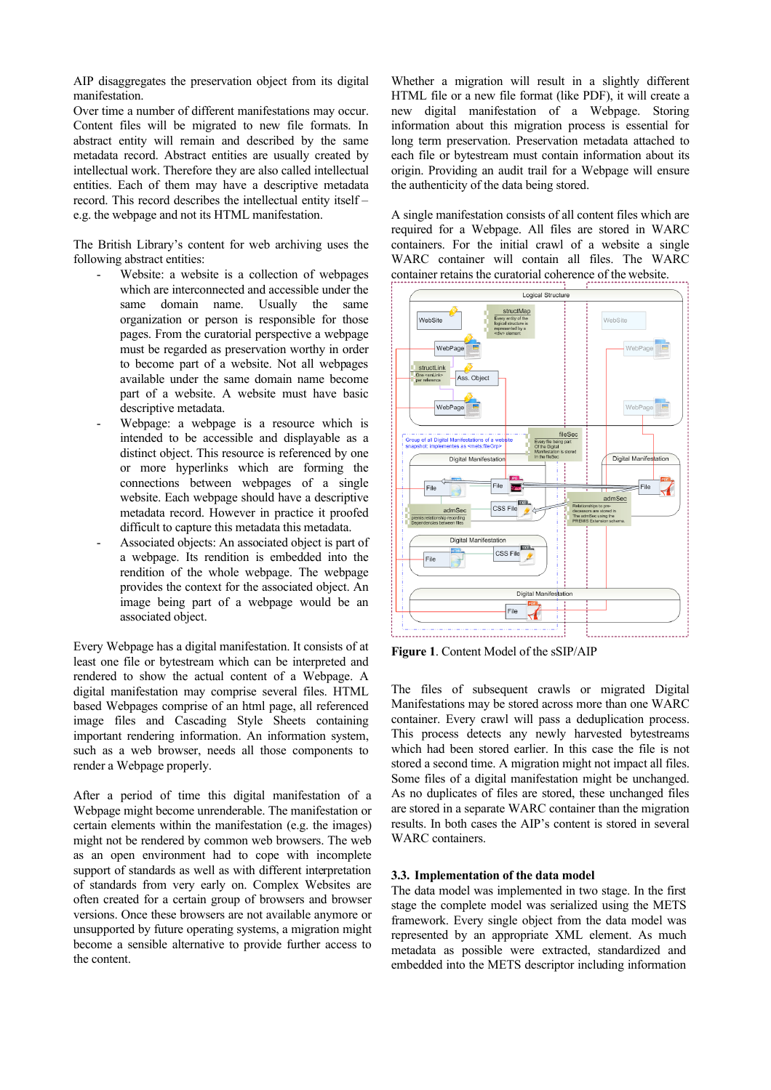AIP disaggregates the preservation object from its digital manifestation.

Over time a number of different manifestations may occur. Content files will be migrated to new file formats. In abstract entity will remain and described by the same metadata record. Abstract entities are usually created by intellectual work. Therefore they are also called intellectual entities. Each of them may have a descriptive metadata record. This record describes the intellectual entity itself – e.g. the webpage and not its HTML manifestation.

The British Library's content for web archiving uses the following abstract entities:

- Website: a website is a collection of webpages which are interconnected and accessible under the same domain name. Usually the same organization or person is responsible for those pages. From the curatorial perspective a webpage must be regarded as preservation worthy in order to become part of a website. Not all webpages available under the same domain name become part of a website. A website must have basic descriptive metadata.
- Webpage: a webpage is a resource which is intended to be accessible and displayable as a distinct object. This resource is referenced by one or more hyperlinks which are forming the connections between webpages of a single website. Each webpage should have a descriptive metadata record. However in practice it proofed difficult to capture this metadata this metadata.
- Associated objects: An associated object is part of a webpage. Its rendition is embedded into the rendition of the whole webpage. The webpage provides the context for the associated object. An image being part of a webpage would be an associated object.

Every Webpage has a digital manifestation. It consists of at least one file or bytestream which can be interpreted and rendered to show the actual content of a Webpage. A digital manifestation may comprise several files. HTML based Webpages comprise of an html page, all referenced image files and Cascading Style Sheets containing important rendering information. An information system, such as a web browser, needs all those components to render a Webpage properly.

After a period of time this digital manifestation of a Webpage might become unrenderable. The manifestation or certain elements within the manifestation (e.g. the images) might not be rendered by common web browsers. The web as an open environment had to cope with incomplete support of standards as well as with different interpretation of standards from very early on. Complex Websites are often created for a certain group of browsers and browser versions. Once these browsers are not available anymore or unsupported by future operating systems, a migration might become a sensible alternative to provide further access to the content.

Whether a migration will result in a slightly different HTML file or a new file format (like PDF), it will create a new digital manifestation of a Webpage. Storing information about this migration process is essential for long term preservation. Preservation metadata attached to each file or bytestream must contain information about its origin. Providing an audit trail for a Webpage will ensure the authenticity of the data being stored.

A single manifestation consists of all content files which are required for a Webpage. All files are stored in WARC containers. For the initial crawl of a website a single WARC container will contain all files. The WARC container retains the curatorial coherence of the website.



**Figure 1**. Content Model of the sSIP/AIP

The files of subsequent crawls or migrated Digital Manifestations may be stored across more than one WARC container. Every crawl will pass a deduplication process. This process detects any newly harvested bytestreams which had been stored earlier. In this case the file is not stored a second time. A migration might not impact all files. Some files of a digital manifestation might be unchanged. As no duplicates of files are stored, these unchanged files are stored in a separate WARC container than the migration results. In both cases the AIP's content is stored in several WARC containers.

## **3.3. Implementation of the data model**

The data model was implemented in two stage. In the first stage the complete model was serialized using the METS framework. Every single object from the data model was represented by an appropriate XML element. As much metadata as possible were extracted, standardized and embedded into the METS descriptor including information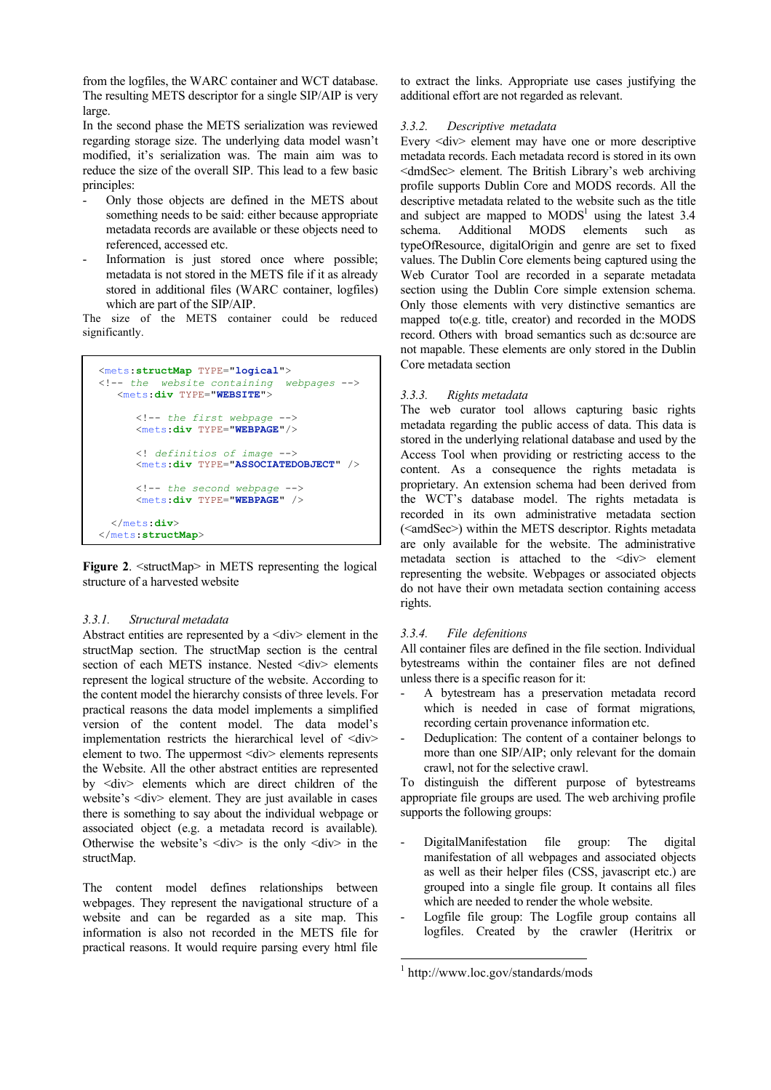from the logfiles, the WARC container and WCT database. The resulting METS descriptor for a single SIP/AIP is very large.

In the second phase the METS serialization was reviewed regarding storage size. The underlying data model wasn't modified, it's serialization was. The main aim was to reduce the size of the overall SIP. This lead to a few basic principles:

- Only those objects are defined in the METS about something needs to be said: either because appropriate metadata records are available or these objects need to referenced, accessed etc.
- Information is just stored once where possible; metadata is not stored in the METS file if it as already stored in additional files (WARC container, logfiles) which are part of the SIP/AIP.

The size of the METS container could be reduced significantly.

```
<mets:structMap TYPE="logical">
<!-- the website containing webpages -->
    <mets:div TYPE="WEBSITE">
       <!-- the first webpage -->
       <mets:div TYPE="WEBPAGE"/>
       <! definitios of image -->
       <mets:div TYPE="ASSOCIATEDOBJECT" />
       <!-- the second webpage -->
       <mets:div TYPE="WEBPAGE" />
   </mets:div>
</mets:structMap>
```
**Figure 2.**  $\leq$  structMap in METS representing the logical structure of a harvested website

# *3.3.1. Structural metadata*

Abstract entities are represented by a  $\langle \text{div} \rangle$  element in the structMap section. The structMap section is the central section of each METS instance. Nested  $\langle \text{div} \rangle$  elements represent the logical structure of the website. According to the content model the hierarchy consists of three levels. For practical reasons the data model implements a simplified version of the content model. The data model's implementation restricts the hierarchical level of <div> element to two. The uppermost <div> elements represents the Website. All the other abstract entities are represented by <div> elements which are direct children of the website's <div> element. They are just available in cases there is something to say about the individual webpage or associated object (e.g. a metadata record is available). Otherwise the website's  $\langle \text{div} \rangle$  is the only  $\langle \text{div} \rangle$  in the structMap.

The content model defines relationships between webpages. They represent the navigational structure of a website and can be regarded as a site map. This information is also not recorded in the METS file for practical reasons. It would require parsing every html file to extract the links. Appropriate use cases justifying the additional effort are not regarded as relevant.

## *3.3.2. Descriptive metadata*

Every <div> element may have one or more descriptive metadata records. Each metadata record is stored in its own <dmdSec> element. The British Library's web archiving profile supports Dublin Core and MODS records. All the descriptive metadata related to the website such as the title and subject are mapped to  $MODS<sup>1</sup>$  using the latest 3.4 schema. Additional MODS elements such as typeOfResource, digitalOrigin and genre are set to fixed values. The Dublin Core elements being captured using the Web Curator Tool are recorded in a separate metadata section using the Dublin Core simple extension schema. Only those elements with very distinctive semantics are mapped to(e.g. title, creator) and recorded in the MODS record. Others with broad semantics such as dc:source are not mapable. These elements are only stored in the Dublin Core metadata section

## *3.3.3. Rights metadata*

The web curator tool allows capturing basic rights metadata regarding the public access of data. This data is stored in the underlying relational database and used by the Access Tool when providing or restricting access to the content. As a consequence the rights metadata is proprietary. An extension schema had been derived from the WCT's database model. The rights metadata is recorded in its own administrative metadata section (<amdSec>) within the METS descriptor. Rights metadata are only available for the website. The administrative metadata section is attached to the <div> element representing the website. Webpages or associated objects do not have their own metadata section containing access rights.

# *3.3.4. File defenitions*

All container files are defined in the file section. Individual bytestreams within the container files are not defined unless there is a specific reason for it:

- A bytestream has a preservation metadata record which is needed in case of format migrations, recording certain provenance information etc.
- Deduplication: The content of a container belongs to more than one SIP/AIP; only relevant for the domain crawl, not for the selective crawl.

To distinguish the different purpose of bytestreams appropriate file groups are used. The web archiving profile supports the following groups:

- DigitalManifestation file group: The digital manifestation of all webpages and associated objects as well as their helper files (CSS, javascript etc.) are grouped into a single file group. It contains all files which are needed to render the whole website.
- Logfile file group: The Logfile group contains all logfiles. Created by the crawler (Heritrix or

 <sup>1</sup> http://www.loc.gov/standards/mods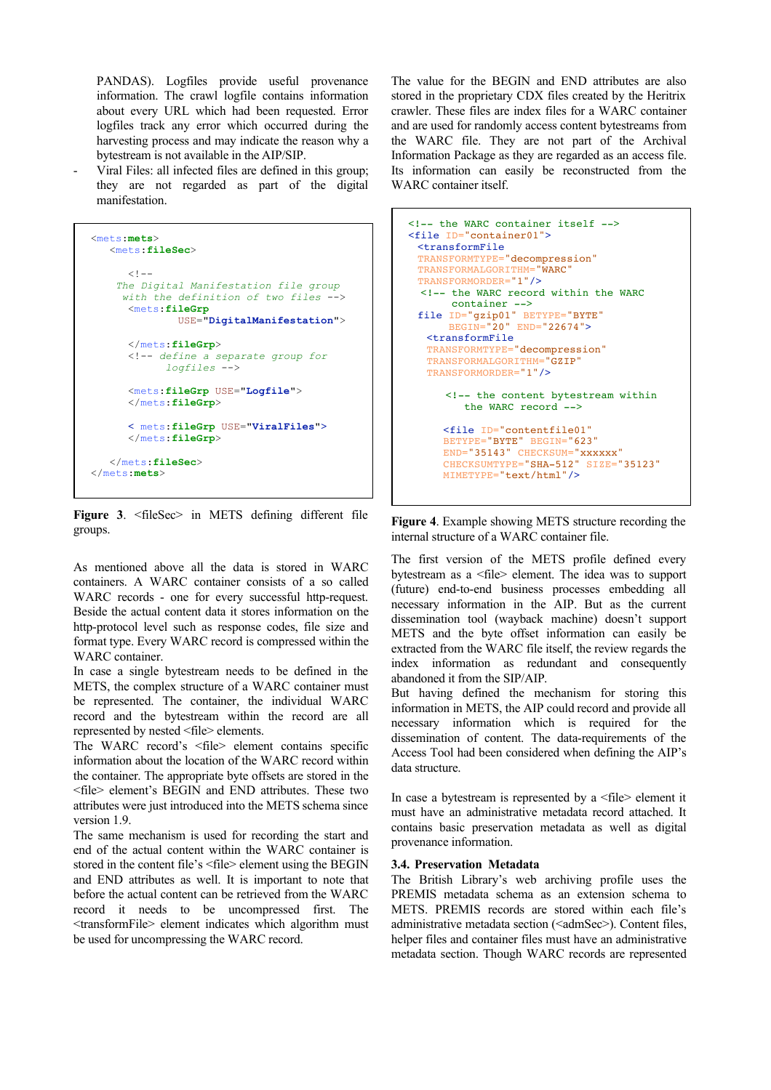PANDAS). Logfiles provide useful provenance information. The crawl logfile contains information about every URL which had been requested. Error logfiles track any error which occurred during the harvesting process and may indicate the reason why a bytestream is not available in the AIP/SIP.

- Viral Files: all infected files are defined in this group; they are not regarded as part of the digital manifestation.

| $mets: mets$<br>$ments:fileSec>$                                                                                                            |
|---------------------------------------------------------------------------------------------------------------------------------------------|
| $< ! - -$<br>The Digital Manifestation file group<br>with the definition of two files --><br>$ments:fileGrp$<br>USE="DigitalManifestation"> |
| $\frac{2}{\sqrt{m} \text{ets}}$ : fileGrp><br>define a separate group for<br><math>logfiles</math>                                          |
| <mets:filegrp use="Logfile"><br/><math>\frac{2}{\sqrt{m} \text{ets}}</math>: fileGrp&gt;</mets:filegrp>                                     |
| < mets: fileGrp USE="ViralFiles"><br>$\frac{2}{\sqrt{m} \cdot 1}$ silegrp>                                                                  |
| $\frac{2}{\pi}$ ets:fileSec><br>$\frac{2}{\sqrt{m} \cdot 1}$                                                                                |

**Figure 3**. <fileSec> in METS defining different file groups.

As mentioned above all the data is stored in WARC containers. A WARC container consists of a so called WARC records - one for every successful http-request. Beside the actual content data it stores information on the http-protocol level such as response codes, file size and format type. Every WARC record is compressed within the WARC container.

In case a single bytestream needs to be defined in the METS, the complex structure of a WARC container must be represented. The container, the individual WARC record and the bytestream within the record are all represented by nested <file> elements.

The WARC record's  $\langle$ file> element contains specific information about the location of the WARC record within the container. The appropriate byte offsets are stored in the <file> element's BEGIN and END attributes. These two attributes were just introduced into the METS schema since version 1.9.

The same mechanism is used for recording the start and end of the actual content within the WARC container is stored in the content file's <file> element using the BEGIN and END attributes as well. It is important to note that before the actual content can be retrieved from the WARC record it needs to be uncompressed first. The <transformFile> element indicates which algorithm must be used for uncompressing the WARC record.

The value for the BEGIN and END attributes are also stored in the proprietary CDX files created by the Heritrix crawler. These files are index files for a WARC container and are used for randomly access content bytestreams from the WARC file. They are not part of the Archival Information Package as they are regarded as an access file. Its information can easily be reconstructed from the WARC container itself.

```
<!-- the WARC container itself -->
<file ID="container01"> 
 <transformFile
 TRANSFORMTYPE="decompression"
 TRANSFORMALGORITHM="WARC"
 TRANSFORMORDER="1"/>
  <!-- the WARC record within the WARC 
 container -->
 file ID="gzip01" BETYPE="BYTE"
       BEGIN="20" END="22674">
   <transformFile
   TRANSFORMTYPE="decompression"
   TRANSFORMALGORITHM="GZIP"
  TRANSFORMORDER="1"/>
       <!-- the content bytestream within
         the WARC record -->
     <file ID="contentfile01"
     BETYPE="BYTE" BEGIN="623"
      END="35143" CHECKSUM="xxxxxx" 
      CHECKSUMTYPE="SHA-512" SIZE="35123"
     MIMETYPE="text/html"/>
```
**Figure 4**. Example showing METS structure recording the internal structure of a WARC container file.

The first version of the METS profile defined every bytestream as a <file> element. The idea was to support (future) end-to-end business processes embedding all necessary information in the AIP. But as the current dissemination tool (wayback machine) doesn't support METS and the byte offset information can easily be extracted from the WARC file itself, the review regards the index information as redundant and consequently abandoned it from the SIP/AIP.

But having defined the mechanism for storing this information in METS, the AIP could record and provide all necessary information which is required for the dissemination of content. The data-requirements of the Access Tool had been considered when defining the AIP's data structure.

In case a bytestream is represented by a <file> element it must have an administrative metadata record attached. It contains basic preservation metadata as well as digital provenance information.

#### **3.4. Preservation Metadata**

The British Library's web archiving profile uses the PREMIS metadata schema as an extension schema to METS. PREMIS records are stored within each file's administrative metadata section (<admSec>). Content files, helper files and container files must have an administrative metadata section. Though WARC records are represented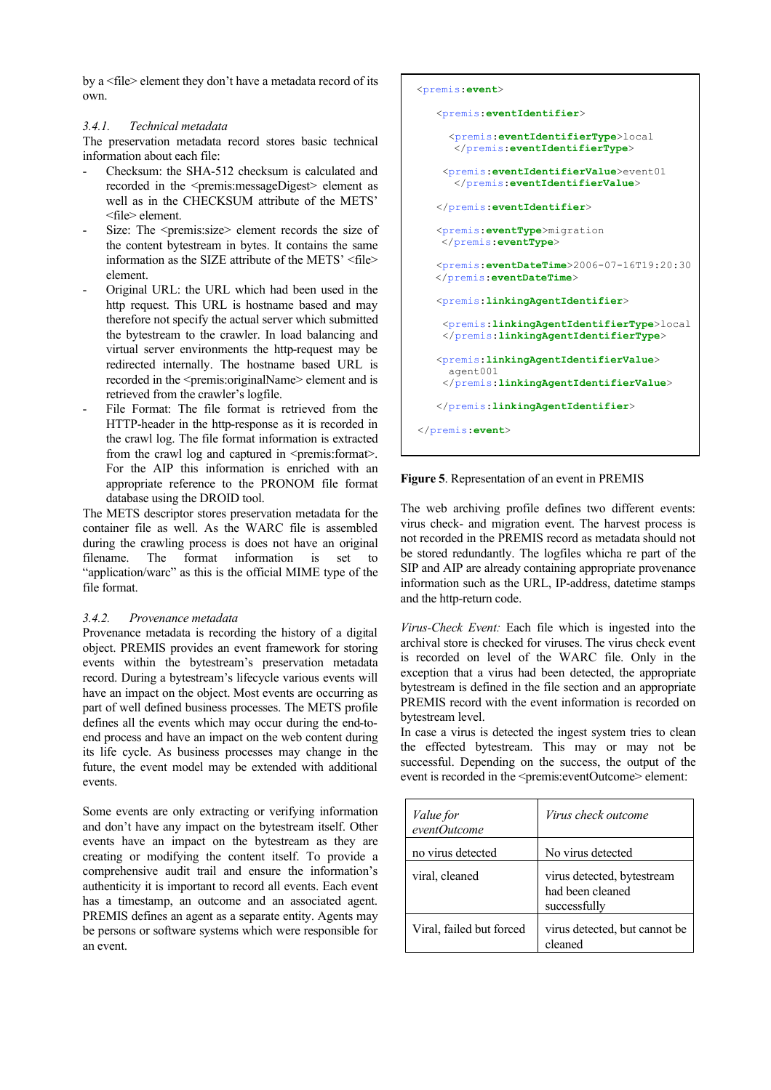by a <file> element they don't have a metadata record of its own.

## *3.4.1. Technical metadata*

The preservation metadata record stores basic technical information about each file:

- Checksum: the SHA-512 checksum is calculated and recorded in the <premis:messageDigest> element as well as in the CHECKSUM attribute of the METS' <file> element.
- Size: The <premis:size> element records the size of the content bytestream in bytes. It contains the same information as the SIZE attribute of the METS' <file> element.
- Original URL: the URL which had been used in the http request. This URL is hostname based and may therefore not specify the actual server which submitted the bytestream to the crawler. In load balancing and virtual server environments the http-request may be redirected internally. The hostname based URL is recorded in the <premis:originalName> element and is retrieved from the crawler's logfile.
- File Format: The file format is retrieved from the HTTP-header in the http-response as it is recorded in the crawl log. The file format information is extracted from the crawl log and captured in  $\leq$  premis: format $\geq$ . For the AIP this information is enriched with an appropriate reference to the PRONOM file format database using the DROID tool.

The METS descriptor stores preservation metadata for the container file as well. As the WARC file is assembled during the crawling process is does not have an original filename. The format information is set to "application/warc" as this is the official MIME type of the file format.

# *3.4.2. Provenance metadata*

Provenance metadata is recording the history of a digital object. PREMIS provides an event framework for storing events within the bytestream's preservation metadata record. During a bytestream's lifecycle various events will have an impact on the object. Most events are occurring as part of well defined business processes. The METS profile defines all the events which may occur during the end-toend process and have an impact on the web content during its life cycle. As business processes may change in the future, the event model may be extended with additional events.

Some events are only extracting or verifying information and don't have any impact on the bytestream itself. Other events have an impact on the bytestream as they are creating or modifying the content itself. To provide a comprehensive audit trail and ensure the information's authenticity it is important to record all events. Each event has a timestamp, an outcome and an associated agent. PREMIS defines an agent as a separate entity. Agents may be persons or software systems which were responsible for an event.

```
<premis:event>
    <premis:eventIdentifier>
      <premis:eventIdentifierType>local
       </premis:eventIdentifierType>
     <premis:eventIdentifierValue>event01
       </premis:eventIdentifierValue>
    </premis:eventIdentifier>
    <premis:eventType>migration
     </premis:eventType>
    <premis:eventDateTime>2006-07-16T19:20:30
    </premis:eventDateTime>
    <premis:linkingAgentIdentifier>
     <premis:linkingAgentIdentifierType>local
     </premis:linkingAgentIdentifierType>
    <premis:linkingAgentIdentifierValue>
      agent001
     </premis:linkingAgentIdentifierValue>
    </premis:linkingAgentIdentifier>
</premis:event>
```
# **Figure 5**. Representation of an event in PREMIS

The web archiving profile defines two different events: virus check- and migration event. The harvest process is not recorded in the PREMIS record as metadata should not be stored redundantly. The logfiles whicha re part of the SIP and AIP are already containing appropriate provenance information such as the URL, IP-address, datetime stamps and the http-return code.

*Virus-Check Event:* Each file which is ingested into the archival store is checked for viruses. The virus check event is recorded on level of the WARC file. Only in the exception that a virus had been detected, the appropriate bytestream is defined in the file section and an appropriate PREMIS record with the event information is recorded on bytestream level.

In case a virus is detected the ingest system tries to clean the effected bytestream. This may or may not be successful. Depending on the success, the output of the event is recorded in the <premis:eventOutcome> element:

| <i>Value</i> for<br>eventOutcome | Virus check outcome                                            |
|----------------------------------|----------------------------------------------------------------|
| no virus detected                | No virus detected                                              |
| viral, cleaned                   | virus detected, bytestream<br>had been cleaned<br>successfully |
| Viral, failed but forced         | virus detected, but cannot be<br>cleaned                       |